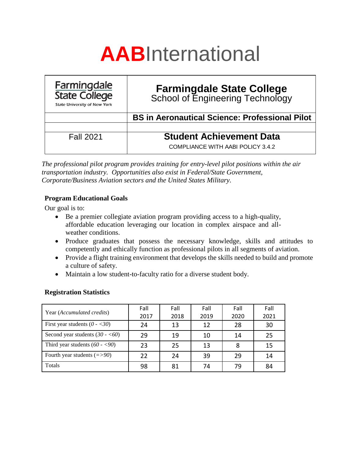# **AAB**International

| <b>Farmingdale</b><br><b>State College</b><br><b>State University of New York</b> | <b>Farmingdale State College</b><br>School of Engineering Technology |
|-----------------------------------------------------------------------------------|----------------------------------------------------------------------|
|                                                                                   | <b>BS in Aeronautical Science: Professional Pilot</b>                |
|                                                                                   |                                                                      |
| <b>Fall 2021</b>                                                                  | <b>Student Achievement Data</b>                                      |
|                                                                                   | COMPLIANCE WITH AABI POLICY 3.4.2                                    |

*The professional pilot program provides training for entry-level pilot positions within the air transportation industry. Opportunities also exist in Federal/State Government, Corporate/Business Aviation sectors and the United States Military.*

## **Program Educational Goals**

Our goal is to:

- Be a premier collegiate aviation program providing access to a high-quality, affordable education leveraging our location in complex airspace and allweather conditions.
- Produce graduates that possess the necessary knowledge, skills and attitudes to competently and ethically function as professional pilots in all segments of aviation.
- Provide a flight training environment that develops the skills needed to build and promote a culture of safety.
- Maintain a low student-to-faculty ratio for a diverse student body.

## **Registration Statistics**

| Year ( <i>Accumulated credits</i> ) | Fall | Fall | Fall | Fall | Fall |
|-------------------------------------|------|------|------|------|------|
|                                     | 2017 | 2018 | 2019 | 2020 | 2021 |
| First year students $(0 - 30)$      | 24   | 13   | 12   | 28   | 30   |
| Second year students $(30 - 60)$    | 29   | 19   | 10   | 14   | 25   |
| Third year students $(60 - 90)$     | 23   | 25   | 13   | 8    | 15   |
| Fourth year students $(=>90)$       | 22   | 24   | 39   | 29   | 14   |
| Totals                              | 98   | 81   | 74   | 79   | 84   |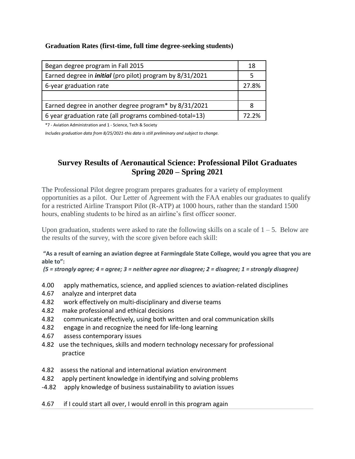### **Graduation Rates (first-time, full time degree-seeking students)**

| Began degree program in Fall 2015                                | 18    |
|------------------------------------------------------------------|-------|
| Earned degree in <i>initial</i> (pro pilot) program by 8/31/2021 | 5     |
| 6-year graduation rate                                           | 27.8% |
|                                                                  |       |
| Earned degree in another degree program* by 8/31/2021            |       |
| 6 year graduation rate (all programs combined-total=13)          |       |

\*7 - Aviation Administration and 1 - Science, Tech & Society

*Includes graduation data from 8/25/2021-this data is still preliminary and subject to change.*

## **Survey Results of Aeronautical Science: Professional Pilot Graduates Spring 2020 – Spring 2021**

The Professional Pilot degree program prepares graduates for a variety of employment opportunities as a pilot. Our Letter of Agreement with the FAA enables our graduates to qualify for a restricted Airline Transport Pilot (R-ATP) at 1000 hours, rather than the standard 1500 hours, enabling students to be hired as an airline's first officer sooner.

Upon graduation, students were asked to rate the following skills on a scale of  $1 - 5$ . Below are the results of the survey, with the score given before each skill:

#### **"As a result of earning an aviation degree at Farmingdale State College, would you agree that you are able to":**

*(5 = strongly agree; 4 = agree; 3 = neither agree nor disagree; 2 = disagree; 1 = strongly disagree)*

- 4.00 apply mathematics, science, and applied sciences to aviation-related disciplines
- 4.67 analyze and interpret data
- 4.82 work effectively on multi-disciplinary and diverse teams
- 4.82 make professional and ethical decisions
- 4.82 communicate effectively, using both written and oral communication skills
- 4.82 engage in and recognize the need for life-long learning
- 4.67 assess contemporary issues
- 4.82 use the techniques, skills and modern technology necessary for professional practice
- 4.82 assess the national and international aviation environment
- 4.82 apply pertinent knowledge in identifying and solving problems
- -4.82 apply knowledge of business sustainability to aviation issues
- 4.67 if I could start all over, I would enroll in this program again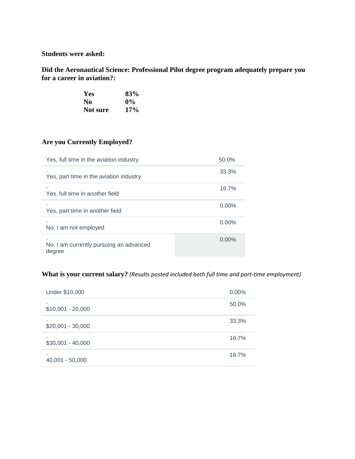**Students were asked:**

**Did the Aeronautical Science: Professional Pilot degree program adequately prepare you for a career in aviation?:**

| <b>Yes</b> | 83%   |
|------------|-------|
| No         | $0\%$ |
| Not sure   | 17%   |

## **Are you Currently Employed?**

| Yes, full time in the aviation industry           | 50.0%    |
|---------------------------------------------------|----------|
| Yes, part time in the aviation industry           | 33.3%    |
| Yes, full time in another field                   | 16.7%    |
| Yes, part time in another field                   | $0.00\%$ |
| No, I am not employed                             | $0.00\%$ |
| No, I am currently pursuing an advanced<br>degree | $0.00\%$ |

## **What is your current salary?** *(Results posted included both full time and part-time employment)*

| Under \$10,000     | $0.00\%$ |
|--------------------|----------|
| $$10,001 - 20,000$ | 50.0%    |
| $$20,001 - 30,000$ | 33.3%    |
| $$30,001 - 40,000$ | 16.7%    |
| $40,001 - 50,000$  | 16.7%    |
|                    |          |